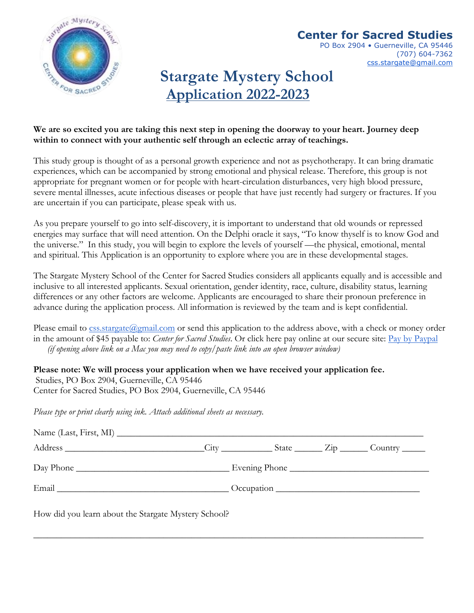

# **Center for Sacred Studies**

PO Box 2904 · Guerneville, CA 95446 (707) 604-7362 css.stargate@gmail.com

# **Stargate Mystery School Application 2022-2023**

## **We are so excited you are taking this next step in opening the doorway to your heart. Journey deep within to connect with your authentic self through an eclectic array of teachings.**

This study group is thought of as a personal growth experience and not as psychotherapy. It can bring dramatic experiences, which can be accompanied by strong emotional and physical release. Therefore, this group is not appropriate for pregnant women or for people with heart-circulation disturbances, very high blood pressure, severe mental illnesses, acute infectious diseases or people that have just recently had surgery or fractures. If you are uncertain if you can participate, please speak with us.

As you prepare yourself to go into self-discovery, it is important to understand that old wounds or repressed energies may surface that will need attention. On the Delphi oracle it says, "To know thyself is to know God and the universe." In this study, you will begin to explore the levels of yourself —the physical, emotional, mental and spiritual. This Application is an opportunity to explore where you are in these developmental stages.

The Stargate Mystery School of the Center for Sacred Studies considers all applicants equally and is accessible and inclusive to all interested applicants. Sexual orientation, gender identity, race, culture, disability status, learning differences or any other factors are welcome. Applicants are encouraged to share their pronoun preference in advance during the application process. All information is reviewed by the team and is kept confidential.

Please email to  $\csc{ss}.\text{strgate}(a)$ *gmail.com* or send this application to the address above, with a check or money order in the amount of \$45 payable to: *Center for Sacred Studies*. Or click here pay online at our secure site: Pay by Paypal *(if opening above link on a Mac you may need to copy/paste link into an open browser window)*

**Please note: We will process your application when we have received your application fee.**  Studies, PO Box 2904, Guerneville, CA 95446 Center for Sacred Studies, PO Box 2904, Guerneville, CA 95446

*Please type or print clearly using ink. Attach additional sheets as necessary.*

|           | $\text{City}$ $\_\_\_\_\_\_\_\$ State $\_\_\_\_\_\$ $\_\_\_\_\_\_\_\_\_\_\_\_\_\_\_\_$ | Country $\_\_$ |  |
|-----------|----------------------------------------------------------------------------------------|----------------|--|
| Day Phone |                                                                                        |                |  |
| Email     | $\sqrt{2}$ Occupation                                                                  |                |  |

\_\_\_\_\_\_\_\_\_\_\_\_\_\_\_\_\_\_\_\_\_\_\_\_\_\_\_\_\_\_\_\_\_\_\_\_\_\_\_\_\_\_\_\_\_\_\_\_\_\_\_\_\_\_\_\_\_\_\_\_\_\_\_\_\_\_\_\_\_\_\_\_\_\_\_\_\_\_\_\_\_\_\_\_

How did you learn about the Stargate Mystery School?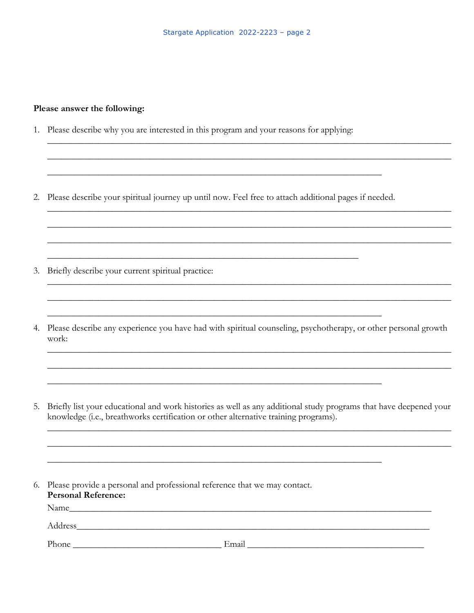#### Please answer the following:

- 1. Please describe why you are interested in this program and your reasons for applying:
- 2. Please describe your spiritual journey up until now. Feel free to attach additional pages if needed.

- 3. Briefly describe your current spiritual practice:
- 4. Please describe any experience you have had with spiritual counseling, psychotherapy, or other personal growth work:

<u> 1989 - Andrea Santa Andrea Santa Andrea Santa Andrea Santa Andrea Santa Andrea Santa Andrea Santa Andrea San</u>

5. Briefly list your educational and work histories as well as any additional study programs that have deepened your knowledge (i.e., breathworks certification or other alternative training programs).

| 6. Please provide a personal and professional reference that we may contact.<br><b>Personal Reference:</b> |  |  |  |  |  |
|------------------------------------------------------------------------------------------------------------|--|--|--|--|--|
|                                                                                                            |  |  |  |  |  |
|                                                                                                            |  |  |  |  |  |
|                                                                                                            |  |  |  |  |  |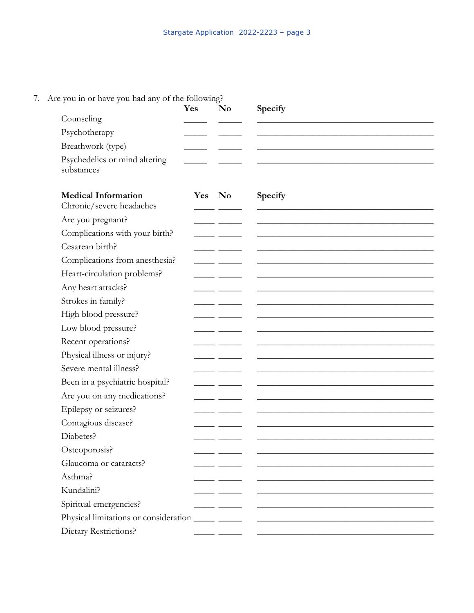### 7. Are you in or have you had any of the following?

|                                                        | Yes        | N <sub>0</sub> | Specify                                                                                                               |
|--------------------------------------------------------|------------|----------------|-----------------------------------------------------------------------------------------------------------------------|
| Counseling                                             |            |                |                                                                                                                       |
| Psychotherapy                                          |            |                |                                                                                                                       |
| Breathwork (type)                                      |            |                |                                                                                                                       |
| Psychedelics or mind altering<br>substances            |            |                |                                                                                                                       |
| <b>Medical Information</b><br>Chronic/severe headaches | <b>Yes</b> | No             | Specify                                                                                                               |
| Are you pregnant?                                      |            |                |                                                                                                                       |
| Complications with your birth?                         |            |                |                                                                                                                       |
| Cesarean birth?                                        |            |                |                                                                                                                       |
| Complications from anesthesia?                         |            |                |                                                                                                                       |
| Heart-circulation problems?                            |            |                |                                                                                                                       |
| Any heart attacks?                                     |            |                |                                                                                                                       |
| Strokes in family?                                     |            |                |                                                                                                                       |
| High blood pressure?                                   |            |                |                                                                                                                       |
| Low blood pressure?                                    |            |                |                                                                                                                       |
| Recent operations?                                     |            |                |                                                                                                                       |
| Physical illness or injury?                            |            |                |                                                                                                                       |
| Severe mental illness?                                 |            |                |                                                                                                                       |
| Been in a psychiatric hospital?                        |            |                |                                                                                                                       |
| Are you on any medications?                            |            |                |                                                                                                                       |
| Epilepsy or seizures?                                  |            |                |                                                                                                                       |
| Contagious disease?                                    |            |                |                                                                                                                       |
| Diabetes?                                              |            |                |                                                                                                                       |
| Osteoporosis?                                          |            |                |                                                                                                                       |
| Glaucoma or cataracts?                                 |            |                |                                                                                                                       |
| Asthma?                                                |            |                |                                                                                                                       |
| Kundalini?                                             |            |                |                                                                                                                       |
| Spiritual emergencies?                                 |            |                | <u> 1989 - Johann Barbara, martin da kasar Amerikaansk konstantin (</u>                                               |
|                                                        |            |                | <u> 1989 - Johann Harry Harry Harry Harry Harry Harry Harry Harry Harry Harry Harry Harry Harry Harry Harry Harry</u> |
| Dietary Restrictions?                                  |            |                |                                                                                                                       |